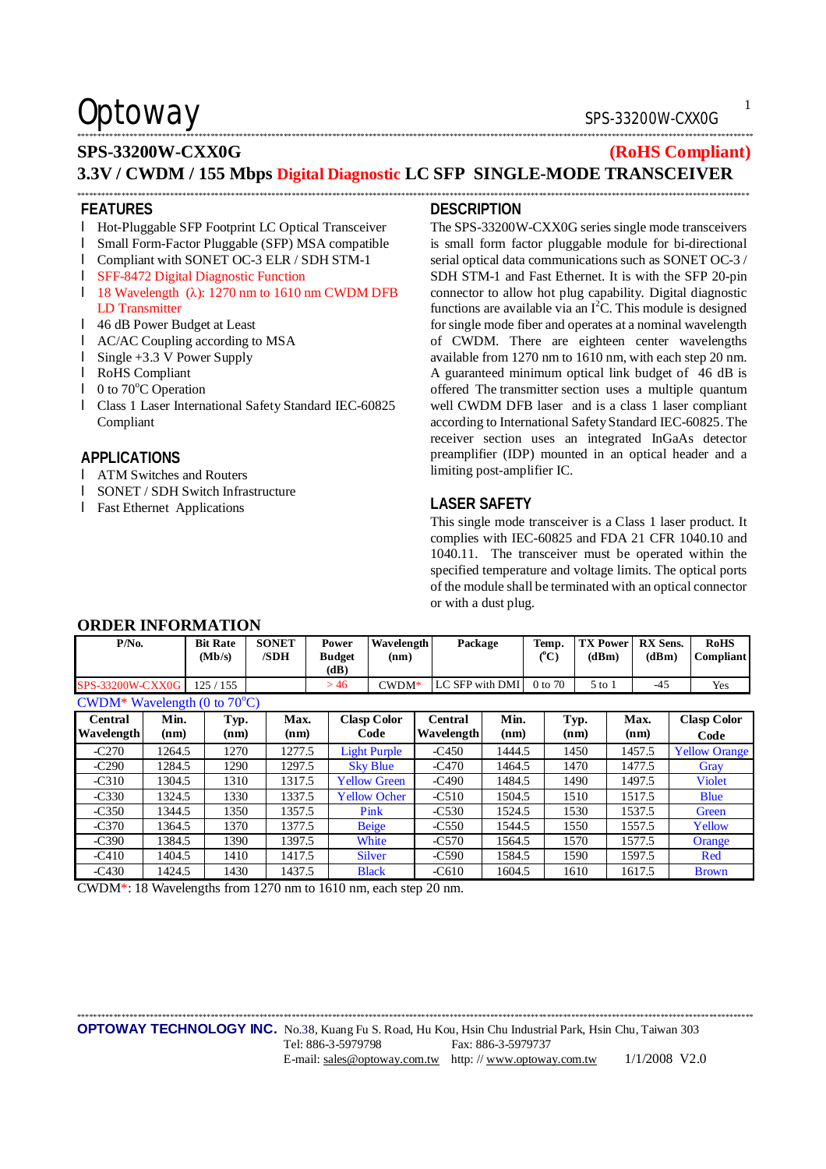### \*\*\*\*\*\*\*\*\*\*\*\*\*\*\*\*\*\*\*\*\*\*\*\*\*\*\*\*\*\*\*\*\*\*\*\*\*\*\*\*\*\*\*\*\*\*\*\*\*\*\*\*\*\*\*\*\*\*\*\*\*\*\*\*\*\*\*\*\*\*\*\*\*\*\*\*\*\*\*\*\*\*\*\*\*\*\*\*\*\*\*\*\*\*\*\*\*\*\*\*\*\*\*\*\*\*\*\*\*\*\*\*\*\*\*\*\*\*\*\*\*\*\*\*\*\*\*\*\*\*\*\*\*\*\*\*\*\*\*\*\*\*\*\*\*\*\*\*\*\*\*\*\*\*\*\*\*\*\*\*\*\*\*\*\*\*\*

### **SPS-33200W-CXX0G (RoHS Compliant) 3.3V / CWDM / 155 Mbps Digital Diagnostic LC SFP SINGLE-MODE TRANSCEIVER**

\*\*\*\*\*\*\*\*\*\*\*\*\*\*\*\*\*\*\*\*\*\*\*\*\*\*\*\*\*\*\*\*\*\*\*\*\*\*\*\*\*\*\*\*\*\*\*\*\*\*\*\*\*\*\*\*\*\*\*\*\*\*\*\*\*\*\*\*\*\*\*\*\*\*\*\*\*\*\*\*\*\*\*\*\*\*\*\*\*\*\*\*\*\*\*\*\*\*\*\*\*\*\*\*\*\*\*\*\*\*\*\*\*\*\*\*\*\*\*\*\*\*\*\*\*\*\*\*\*\*\*\*\*\*\*\*\*\*\*\*\*\*\*\*\*\*\*\*\*\*\*\*\*\*\*\*\*\*\*\*\*\*\*\*\*\*

#### **FEATURES**

- l Hot-Pluggable SFP Footprint LC Optical Transceiver
- l Small Form-Factor Pluggable (SFP) MSA compatible
- l Compliant with SONET OC-3 ELR / SDH STM-1
- l SFF-8472 Digital Diagnostic Function
- l 18 Wavelength (λ): 1270 nm to 1610 nm CWDM DFB LD Transmitter
- l 46 dB Power Budget at Least
- l AC/AC Coupling according to MSA
- l Single +3.3 V Power Supply
- l RoHS Compliant
- $\blacksquare$  0 to 70 $\mathrm{°C}$  Operation
- l Class 1 Laser International Safety Standard IEC-60825 Compliant

#### **APPLICATIONS**

- l ATM Switches and Routers
- l SONET / SDH Switch Infrastructure
- l Fast Ethernet Applications

#### **DESCRIPTION**

The SPS-33200W-CXX0G series single mode transceivers is small form factor pluggable module for bi-directional serial optical data communications such as SONET OC-3 / SDH STM-1 and Fast Ethernet. It is with the SFP 20-pin connector to allow hot plug capability. Digital diagnostic functions are available via an I<sup>2</sup>C. This module is designed for single mode fiber and operates at a nominal wavelength of CWDM. There are eighteen center wavelengths available from 1270 nm to 1610 nm, with each step 20 nm. A guaranteed minimum optical link budget of 46 dB is offered The transmitter section uses a multiple quantum well CWDM DFB laser and is a class 1 laser compliant according to International Safety Standard IEC-60825. The receiver section uses an integrated InGaAs detector preamplifier (IDP) mounted in an optical header and a limiting post-amplifier IC.

#### **LASER SAFETY**

This single mode transceiver is a Class 1 laser product. It complies with IEC-60825 and FDA 21 CFR 1040.10 and 1040.11. The transceiver must be operated within the specified temperature and voltage limits. The optical ports of the module shall be terminated with an optical connector or with a dust plug.

| $P/N0$ .                               |              | <b>Bit Rate</b><br>(Mb/s) | <b>SONET</b><br>/SDH | Power<br><b>Budget</b><br>(dB) | Wavelength<br>(nm)         | Package                             |              | Temp.<br>$(^{\circ}\mathrm{C})$ | <b>TX Power</b><br>(dBm) | <b>RX</b> Sens.<br>(dBm) | <b>RoHS</b><br>Compliant   |
|----------------------------------------|--------------|---------------------------|----------------------|--------------------------------|----------------------------|-------------------------------------|--------------|---------------------------------|--------------------------|--------------------------|----------------------------|
| SPS-33200W-CXX0G                       |              | 125/155                   |                      | >46                            | $CWDM*$                    | LC SFP with DMI                     |              | 0 to 70                         | $5$ to $1$               | $-45$                    | Yes                        |
| CWDM* Wavelength (0 to $70^{\circ}$ C) |              |                           |                      |                                |                            |                                     |              |                                 |                          |                          |                            |
| <b>Central</b><br>Wavelength           | Min.<br>(nm) | Typ.<br>(nm)              | Max.<br>(nm)         |                                | <b>Clasp Color</b><br>Code | <b>Central</b><br><b>Wavelength</b> | Min.<br>(nm) |                                 | Typ.<br>(nm)             | Max.<br>(nm)             | <b>Clasp Color</b><br>Code |
| $-C270$                                | 1264.5       | 1270                      | 1277.5               |                                | <b>Light Purple</b>        | $-C450$                             | 1444.5       |                                 | 1450                     | 1457.5                   | <b>Yellow Orange</b>       |
| $-C290$                                | 1284.5       | 1290                      | 1297.5               |                                | <b>Sky Blue</b>            | $-C470$                             | 1464.5       |                                 | 1470                     | 1477.5                   | Gray                       |
| $-C310$                                | 1304.5       | 1310                      | 1317.5               |                                | <b>Yellow Green</b>        | $-C490$                             | 1484.5       |                                 | 1490                     | 1497.5                   | <b>Violet</b>              |
| $-C330$                                | 1324.5       | 1330                      | 1337.5               |                                | <b>Yellow Ocher</b>        | $-C510$                             | 1504.5       |                                 | 1510                     | 1517.5                   | <b>Blue</b>                |
| $-C350$                                | 1344.5       | 1350                      | 1357.5               |                                | Pink                       | $-C530$                             | 1524.5       |                                 | 1530                     | 1537.5                   | Green                      |
| $-C370$                                | 1364.5       | 1370                      | 1377.5               |                                | <b>Beige</b>               | $-C550$                             | 1544.5       |                                 | 1550                     | 1557.5                   | Yellow                     |
| $-C390$                                | 1384.5       | 1390                      | 1397.5               |                                | White                      | $-C570$                             | 1564.5       |                                 | 1570                     | 1577.5                   | Orange                     |
| $-C410$                                | 1404.5       | 1410                      | 1417.5               |                                | <b>Silver</b>              | $-C590$                             | 1584.5       |                                 | 1590                     | 1597.5                   | Red                        |
| $-C430$                                | 1424.5       | 1430                      | 1437.5               |                                | <b>Black</b>               | $-C610$                             | 1604.5       |                                 | 1610                     | 1617.5                   | <b>Brown</b>               |

**ORDER INFORMATION** 

CWDM\*: 18 Wavelengths from 1270 nm to 1610 nm, each step 20 nm.

\*\*\*\*\*\*\*\*\*\*\*\*\*\*\*\*\*\*\*\*\*\*\*\*\*\*\*\*\*\*\*\*\*\*\*\*\*\*\*\*\*\*\*\*\*\*\*\*\*\*\*\*\*\*\*\*\*\*\*\*\*\*\*\*\*\*\*\*\*\*\*\*\*\*\*\*\*\*\*\*\*\*\*\*\*\*\*\*\*\*\*\*\*\*\*\*\*\*\*\*\*\*\*\*\*\*\*\*\*\*\*\*\*\*\*\*\*\*\*\*\*\*\*\*\*\*\*\*\*\*\*\*\*\*\*\*\*\*\*\*\*\*\*\*\*\*\*\*\*\*\*\*\*\*\*\*\*\*\*\*\*\*\*\*\*\*\*

1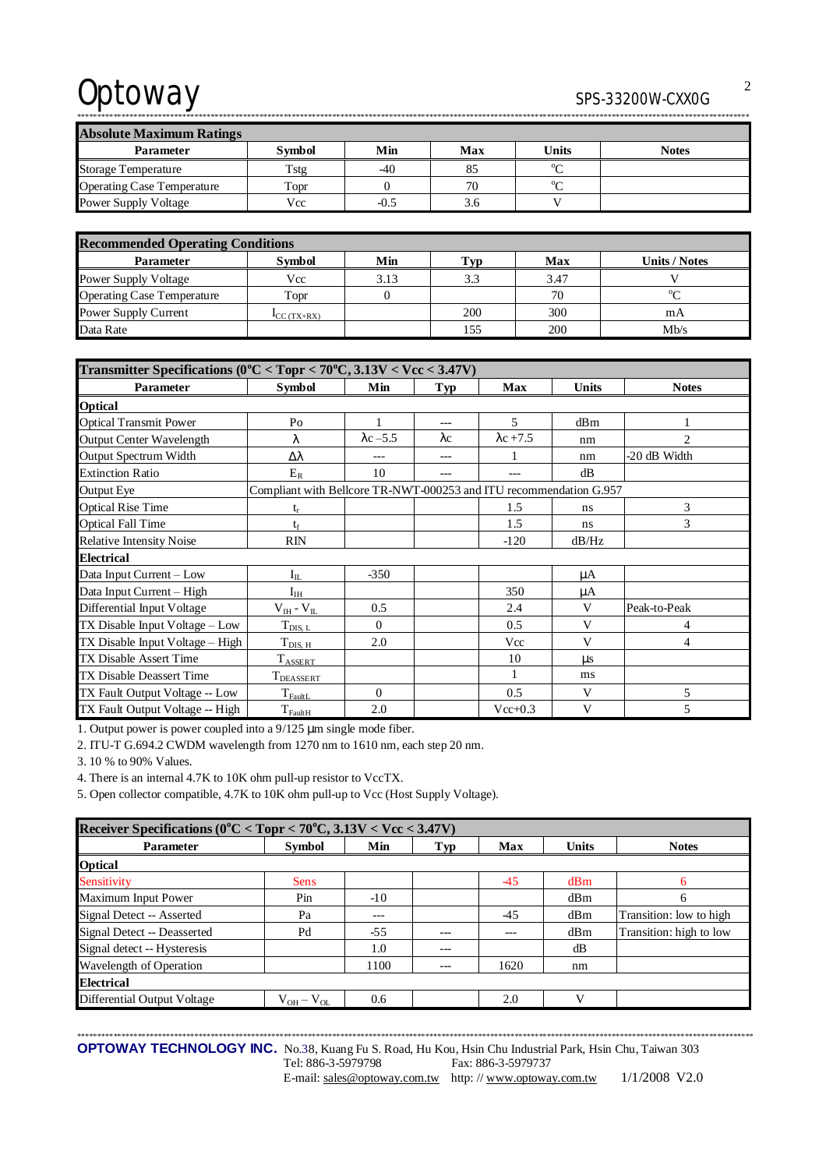| <b>Absolute Maximum Ratings</b>   |               |        |     |              |              |  |  |
|-----------------------------------|---------------|--------|-----|--------------|--------------|--|--|
| <b>Parameter</b>                  | <b>Symbol</b> | Min    | Max | <b>Units</b> | <b>Notes</b> |  |  |
| <b>Storage Temperature</b>        | Tstg          | -40    | 85  | $\sim$       |              |  |  |
| <b>Operating Case Temperature</b> | Topr          |        | 70  | $0 \sim$     |              |  |  |
| <b>Power Supply Voltage</b>       | Vcc           | $-0.5$ | 3.6 |              |              |  |  |

\*\*\*\*\*\*\*\*\*\*\*\*\*\*\*\*\*\*\*\*\*\*\*\*\*\*\*\*\*\*\*\*\*\*\*\*\*\*\*\*\*\*\*\*\*\*\*\*\*\*\*\*\*\*\*\*\*\*\*\*\*\*\*\*\*\*\*\*\*\*\*\*\*\*\*\*\*\*\*\*\*\*\*\*\*\*\*\*\*\*\*\*\*\*\*\*\*\*\*\*\*\*\*\*\*\*\*\*\*\*\*\*\*\*\*\*\*\*\*\*\*\*\*\*\*\*\*\*\*\*\*\*\*\*\*\*\*\*\*\*\*\*\*\*\*\*\*\*\*\*\*\*\*\*\*\*\*\*\*\*\*\*\*\*\*\*

| <b>Recommended Operating Conditions</b> |                           |      |     |      |               |  |  |  |
|-----------------------------------------|---------------------------|------|-----|------|---------------|--|--|--|
| <b>Parameter</b>                        | <b>Symbol</b>             | Min  | Typ | Max  | Units / Notes |  |  |  |
| Power Supply Voltage                    | Vcc                       | 3.13 | 3.3 | 3.47 |               |  |  |  |
| <b>Operating Case Temperature</b>       | Topr                      |      |     | 70   | $\alpha$      |  |  |  |
| Power Supply Current                    | $\mathbf{I}_{CC}$ (TX+RX) |      | 200 | 300  | mA            |  |  |  |
| Data Rate                               |                           |      | 155 | 200  | Mb/s          |  |  |  |

| Transmitter Specifications (0°C < Topr < 70°C, 3.13V < Vcc < 3.47V) |                                                                    |                  |             |                  |              |                |  |  |
|---------------------------------------------------------------------|--------------------------------------------------------------------|------------------|-------------|------------------|--------------|----------------|--|--|
| <b>Parameter</b>                                                    | <b>Symbol</b>                                                      | Min              | Typ         | <b>Max</b>       | <b>Units</b> | <b>Notes</b>   |  |  |
| <b>Optical</b>                                                      |                                                                    |                  |             |                  |              |                |  |  |
| <b>Optical Transmit Power</b>                                       | Po                                                                 |                  | $---$       | $\overline{5}$   | dBm          |                |  |  |
| <b>Output Center Wavelength</b>                                     | λ                                                                  | $\lambda$ c –5.5 | $\lambda c$ | $\lambda$ c +7.5 | nm           | $\overline{c}$ |  |  |
| Output Spectrum Width                                               | Δλ                                                                 | $---$            | $---$       |                  | nm           | -20 dB Width   |  |  |
| <b>Extinction Ratio</b>                                             | $E_R$                                                              | 10               |             |                  | dB           |                |  |  |
| <b>Output Eye</b>                                                   | Compliant with Bellcore TR-NWT-000253 and ITU recommendation G.957 |                  |             |                  |              |                |  |  |
| <b>Optical Rise Time</b>                                            | $t_r$                                                              |                  |             | 1.5              | ns           | 3              |  |  |
| <b>Optical Fall Time</b>                                            | te                                                                 |                  |             | 1.5              | ns           | 3              |  |  |
| <b>Relative Intensity Noise</b>                                     | <b>RIN</b>                                                         |                  |             | $-120$           | dB/Hz        |                |  |  |
| <b>Electrical</b>                                                   |                                                                    |                  |             |                  |              |                |  |  |
| Data Input Current - Low                                            | $I_{II}$                                                           | $-350$           |             |                  | μA           |                |  |  |
| Data Input Current - High                                           | $I_{IH}$                                                           |                  |             | 350              | μA           |                |  |  |
| Differential Input Voltage                                          | $V_{IH}$ - $V_{IL}$                                                | 0.5              |             | 2.4              | V            | Peak-to-Peak   |  |  |
| TX Disable Input Voltage – Low                                      | $T_{DIS, L}$                                                       | $\Omega$         |             | 0.5              | V            | 4              |  |  |
| TX Disable Input Voltage - High                                     | $T_{\text{DIS, H}}$                                                | 2.0              |             | Vcc              | $\mathbf{V}$ | 4              |  |  |
| <b>TX Disable Assert Time</b>                                       | <b>TASSERT</b>                                                     |                  |             | 10               | $\mu$ s      |                |  |  |
| TX Disable Deassert Time                                            | $\mathrm{T}_\mathrm{DEASSERT}$                                     |                  |             |                  | ms           |                |  |  |
| TX Fault Output Voltage -- Low                                      | $T_{\rm{FaultL}}$                                                  | $\Omega$         |             | 0.5              | V            | 5              |  |  |
| TX Fault Output Voltage -- High                                     | $T_{\underline{\text{FaultH}}}$                                    | 2.0              |             | $Vec{+}0.3$      | V            | 5              |  |  |

1. Output power is power coupled into a 9/125 μm single mode fiber.

2. ITU-T G.694.2 CWDM wavelength from 1270 nm to 1610 nm, each step 20 nm.

3. 10 % to 90% Values.

4. There is an internal 4.7K to 10K ohm pull-up resistor to VccTX.

5. Open collector compatible, 4.7K to 10K ohm pull-up to Vcc (Host Supply Voltage).

| Receiver Specifications ( $0^{\circ}$ C < Topr < 70 $^{\circ}$ C, 3.13V < Vcc < 3.47V) |                   |       |       |       |              |                         |  |  |
|----------------------------------------------------------------------------------------|-------------------|-------|-------|-------|--------------|-------------------------|--|--|
| <b>Parameter</b>                                                                       | <b>Symbol</b>     | Min   | Typ   | Max   | <b>Units</b> | <b>Notes</b>            |  |  |
| Optical                                                                                |                   |       |       |       |              |                         |  |  |
| Sensitivity                                                                            | <b>Sens</b>       |       |       | $-45$ | dBm          | 6                       |  |  |
| Maximum Input Power                                                                    | Pin               | $-10$ |       |       | dBm          | 6                       |  |  |
| Signal Detect -- Asserted                                                              | Pa                | $---$ |       | $-45$ | dBm          | Transition: low to high |  |  |
| Signal Detect -- Deasserted                                                            | Pd                | $-55$ | $---$ | ---   | dBm          | Transition: high to low |  |  |
| Signal detect -- Hysteresis                                                            |                   | 1.0   | $---$ |       | dB           |                         |  |  |
| Wavelength of Operation                                                                |                   | 1100  | $---$ | 1620  | nm           |                         |  |  |
| <b>Electrical</b>                                                                      |                   |       |       |       |              |                         |  |  |
| Differential Output Voltage                                                            | $V_{OH} - V_{OL}$ | 0.6   |       | 2.0   |              |                         |  |  |

**OPTOWAY TECHNOLOGY INC.** No.38, Kuang Fu S. Road, Hu Kou, Hsin Chu Industrial Park, Hsin Chu, Taiwan 303 Tel: 886-3-5979798 Fax: 886-3-5979737

E-mail: [sales@optoway.com.tw](mailto:sales@optoway.com.tw) http: // [www.optoway.com.tw](http://www.optoway.com.tw) 1/1/2008 V2.0

\*\*\*\*\*\*\*\*\*\*\*\*\*\*\*\*\*\*\*\*\*\*\*\*\*\*\*\*\*\*\*\*\*\*\*\*\*\*\*\*\*\*\*\*\*\*\*\*\*\*\*\*\*\*\*\*\*\*\*\*\*\*\*\*\*\*\*\*\*\*\*\*\*\*\*\*\*\*\*\*\*\*\*\*\*\*\*\*\*\*\*\*\*\*\*\*\*\*\*\*\*\*\*\*\*\*\*\*\*\*\*\*\*\*\*\*\*\*\*\*\*\*\*\*\*\*\*\*\*\*\*\*\*\*\*\*\*\*\*\*\*\*\*\*\*\*\*\*\*\*\*\*\*\*\*\*\*\*\*\*\*\*\*\*\*\*\*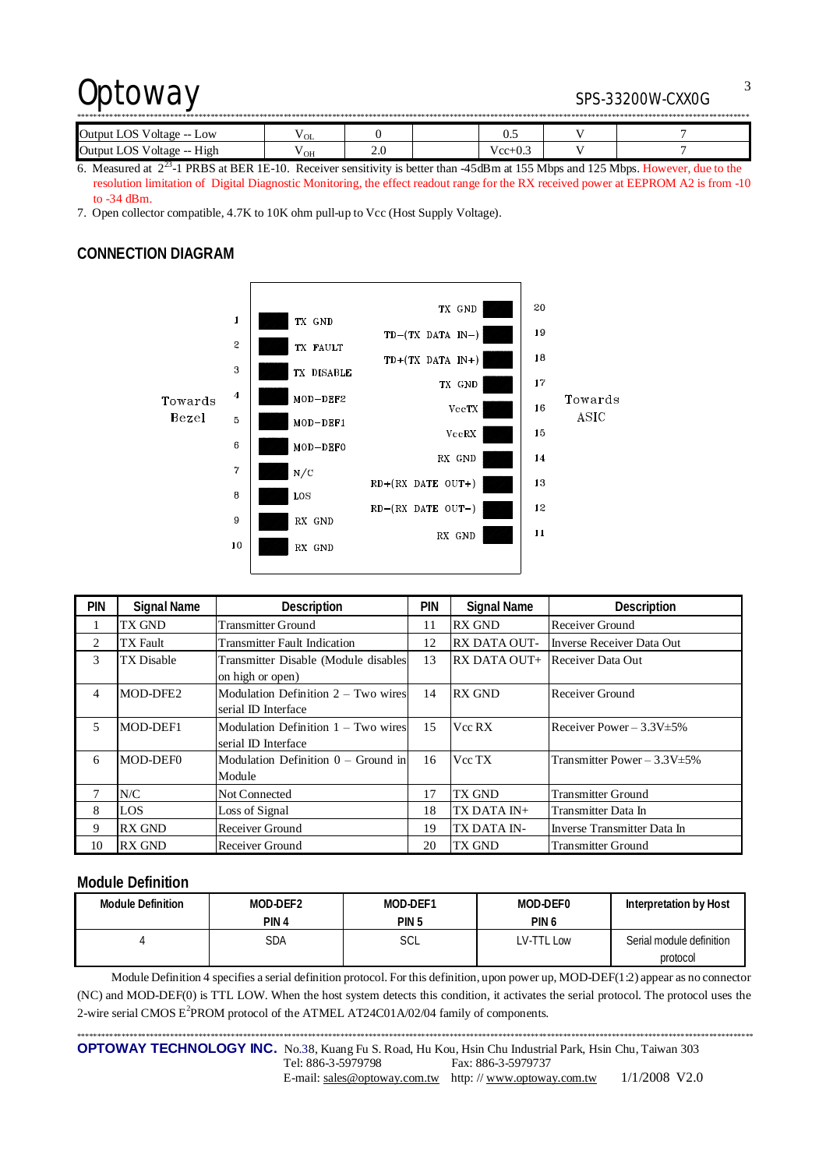| <b>Output LOS</b><br>Voltage --<br>Low | ' OL |     |  | ∪.J       |  |  |  |
|----------------------------------------|------|-----|--|-----------|--|--|--|
| High<br>Output LOS<br>Voltage --       | " ОН | 2.U |  | $Vec+0.3$ |  |  |  |

6. Measured at  $2^{23}$ -1 PRBS at BER 1E-10. Receiver sensitivity is better than  $-45$ dBm at 155 Mbps and 125 Mbps. However, due to the resolution limitation of Digital Diagnostic Monitoring, the effect readout range for the RX received power at EEPROM A2 is from -10 to -34 dBm.

7. Open collector compatible, 4.7K to 10K ohm pull-up to Vcc (Host Supply Voltage).

#### **CONNECTION DIAGRAM**



| <b>PIN</b>     | <b>Signal Name</b> | Description                                                  | <b>PIN</b> | <b>Signal Name</b>  | <b>Description</b>                |
|----------------|--------------------|--------------------------------------------------------------|------------|---------------------|-----------------------------------|
|                | TX GND             | <b>Transmitter Ground</b>                                    | 11         | <b>RX GND</b>       | Receiver Ground                   |
| 2              | TX Fault           | <b>Transmitter Fault Indication</b>                          | 12         | <b>RX DATA OUT-</b> | Inverse Receiver Data Out         |
| 3              | TX Disable         | Transmitter Disable (Module disables<br>on high or open)     | 13         | RX DATA OUT+        | Receiver Data Out                 |
| $\overline{4}$ | MOD-DFE2           | Modulation Definition $2 - Two wires$<br>serial ID Interface | 14         | <b>RX GND</b>       | Receiver Ground                   |
| 5              | MOD-DEF1           | Modulation Definition 1 – Two wires<br>serial ID Interface   | 15         | Vcc RX              | Receiver Power $-3.3V \pm 5\%$    |
| 6              | MOD-DEF0           | Modulation Definition $0 -$ Ground in<br>Module              | 16         | Vcc TX              | Transmitter Power $-3.3V \pm 5\%$ |
| 7              | N/C                | <b>Not Connected</b>                                         | 17         | TX GND              | <b>Transmitter Ground</b>         |
| 8              | <b>LOS</b>         | Loss of Signal                                               | 18         | TX DATA IN+         | Transmitter Data In               |
| 9              | <b>RX GND</b>      | Receiver Ground                                              | 19         | TX DATA IN-         | Inverse Transmitter Data In       |
| 10             | <b>RX GND</b>      | Receiver Ground                                              | 20         | <b>TX GND</b>       | <b>Transmitter Ground</b>         |

#### **Module Definition**

| <b>Module Definition</b> | MOD-DEF2 | MOD-DEF1         | MOD-DEF0         | Interpretation by Host   |
|--------------------------|----------|------------------|------------------|--------------------------|
|                          | PIN 4    | PIN <sub>5</sub> | PIN <sub>6</sub> |                          |
|                          | SDA      | SCL              | LV-TTL Low       | Serial module definition |
|                          |          |                  |                  | protocol                 |

Module Definition 4 specifies a serial definition protocol. For this definition, upon power up, MOD-DEF(1:2) appear as no connector (NC) and MOD-DEF(0) is TTL LOW. When the host system detects this condition, it activates the serial protocol. The protocol uses the 2-wire serial CMOS  $E^2$ PROM protocol of the ATMEL AT24C01A/02/04 family of components.

\*\*\*\*\*\*\*\*\*\*\*\*\*\*\*\*\*\*\*\*\*\*\*\*\*\*\*\*\*\*\*\*\*\*\*\*\*\*\*\*\*\*\*\*\*\*\*\*\*\*\*\*\*\*\*\*\*\*\*\*\*\*\*\*\*\*\*\*\*\*\*\*\*\*\*\*\*\*\*\*\*\*\*\*\*\*\*\*\*\*\*\*\*\*\*\*\*\*\*\*\*\*\*\*\*\*\*\*\*\*\*\*\*\*\*\*\*\*\*\*\*\*\*\*\*\*\*\*\*\*\*\*\*\*\*\*\*\*\*\*\*\*\*\*\*\*\*\*\*\*\*\*\*\*\*\*\*\*\*\*\*\*\*\*\*\*\* **OPTOWAY TECHNOLOGY INC.** No.38, Kuang Fu S. Road, Hu Kou, Hsin Chu Industrial Park, Hsin Chu, Taiwan 303 Tel: 886-3-5979798 Fax: 886-3-5979737 E-mail: [sales@optoway.com.tw](mailto:sales@optoway.com.tw) http: // [www.optoway.com.tw](http://www.optoway.com.tw) 1/1/2008 V2.0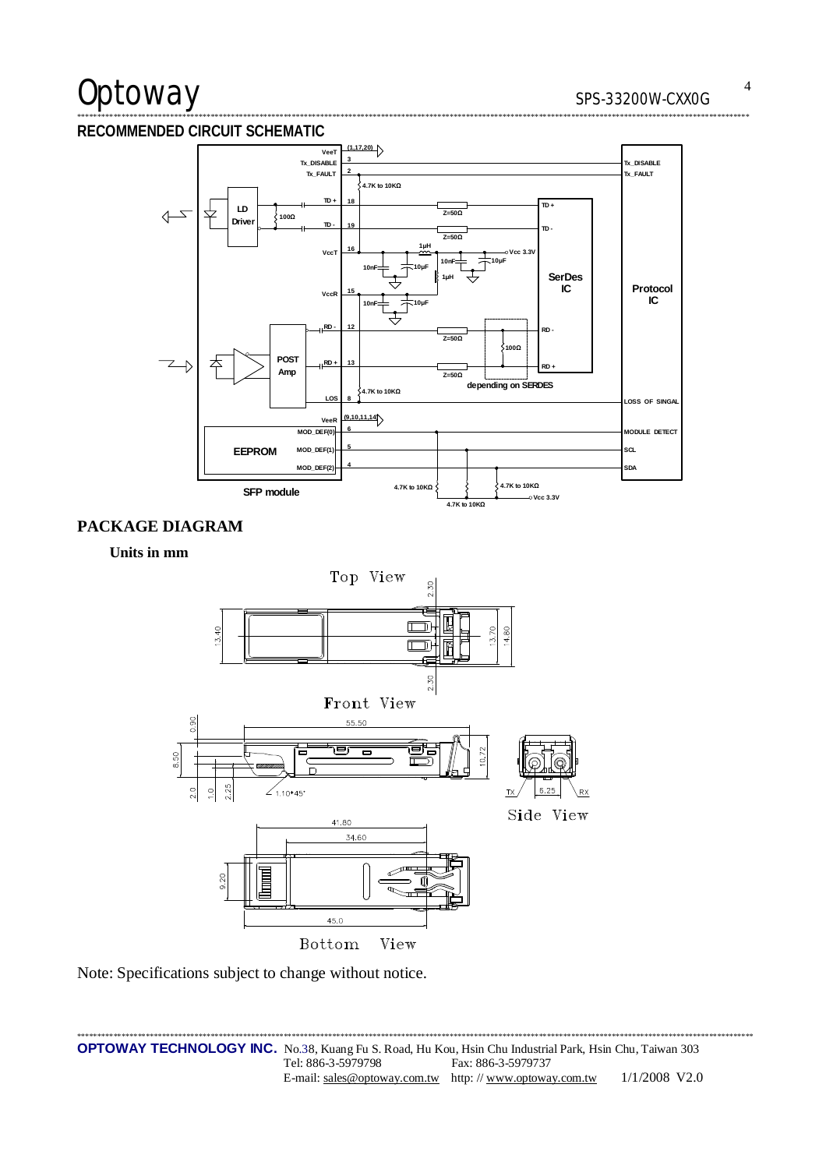# Optoway

#### RECOMMENDED CIRCUIT SCHEMATIC



#### PACKAGE DIAGRAM

#### Units in mm



Note: Specifications subject to change without notice.

 $\overline{4}$ 

\*\*\*\*\*\*\*